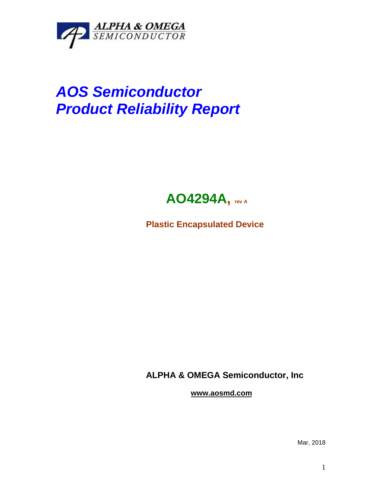

## *AOS Semiconductor Product Reliability Report*



**Plastic Encapsulated Device**

**ALPHA & OMEGA Semiconductor, Inc**

**www.aosmd.com**

Mar, 2018